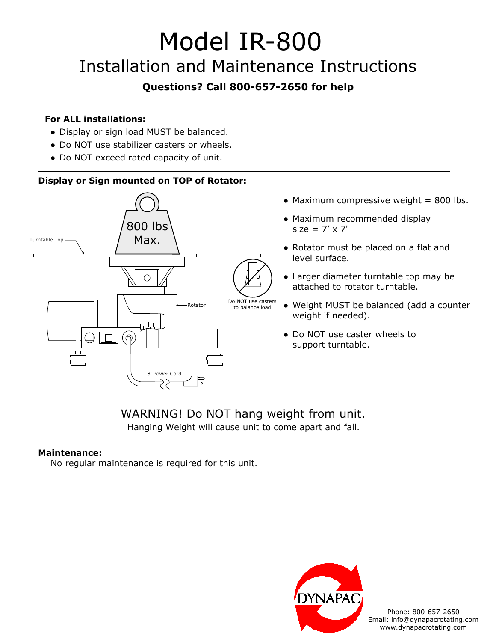# Model IR-800 Installation and Maintenance Instructions

## **Questions? Call 800-657-2650 for help**

#### **For ALL installations:**

- Display or sign load MUST be balanced.
- Do NOT use stabilizer casters or wheels.
- Do NOT exceed rated capacity of unit.

### **Display or Sign mounted on TOP of Rotator:**



- $\bullet$  Maximum compressive weight = 800 lbs.
- Maximum recommended display  $size = 7' \times 7'$
- Rotator must be placed on a flat and level surface.
- Larger diameter turntable top may be attached to rotator turntable.
- Weight MUST be balanced (add a counter weight if needed).
- Do NOT use caster wheels to support turntable.

## WARNING! Do NOT hang weight from unit. Hanging Weight will cause unit to come apart and fall.

### **Maintenance:**

No regular maintenance is required for this unit.